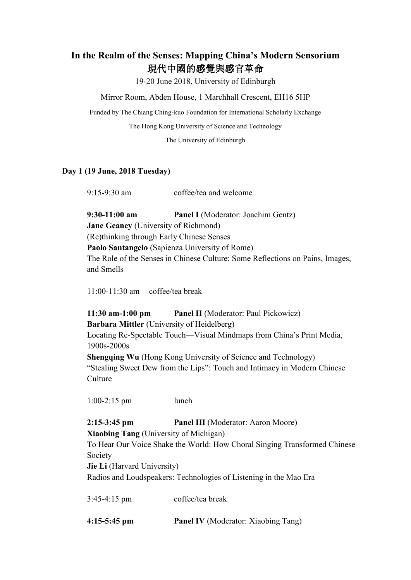## **In the Realm of the Senses: Mapping China's Modern Sensorium** 現代中國的感覺與感官革命

19-20 June 2018, University of Edinburgh

Mirror Room, Abden House, 1 Marchhall Crescent, EH16 5HP

Funded by The Chiang Ching-kuo Foundation for International Scholarly Exchange

The Hong Kong University of Science and Technology

The University of Edinburgh

## **Day 1 (19 June, 2018 Tuesday)**

9:15-9:30 am coffee/tea and welcome

**9:30-11:00 am Panel I** (Moderator: Joachim Gentz) **Jane Geaney** (University of Richmond) (Re)thinking through Early Chinese Senses **Paolo Santangelo** (Sapienza University of Rome) The Role of the Senses in Chinese Culture: Some Reflections on Pains, Images, and Smells

11:00-11:30 am coffee/tea break

**11:30 am-1:00 pm Panel II** (Moderator: Paul Pickowicz) **Barbara Mittler** (University of Heidelberg) Locating Re-Spectable Touch—Visual Mindmaps from China's Print Media, 1900s-2000s **Shengqing Wu** (Hong Kong University of Science and Technology) "Stealing Sweet Dew from the Lips": Touch and Intimacy in Modern Chinese Culture

1:00-2:15 pm lunch

**2:15-3:45 pm Panel III** (Moderator: Aaron Moore)

**Xiaobing Tang** (University of Michigan)

To Hear Our Voice Shake the World: How Choral Singing Transformed Chinese Society

**Jie Li** (Harvard University)

Radios and Loudspeakers: Technologies of Listening in the Mao Era

3:45-4:15 pm coffee/tea break **4:15-5:45 pm Panel IV** (Moderator: Xiaobing Tang)